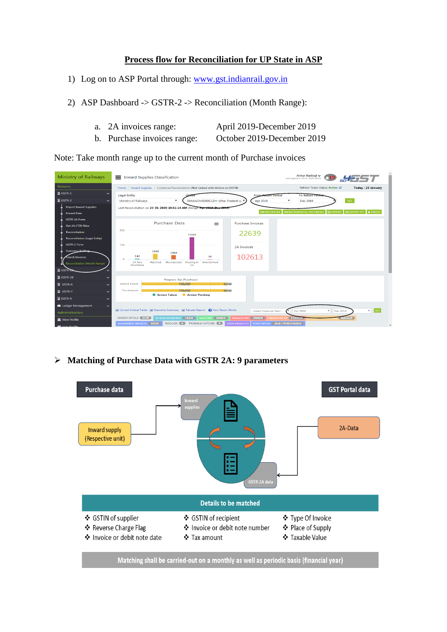### **Process flow for Reconciliation for UP State in ASP**

- 1) Log on to ASP Portal through: [www.gst.indianrail.gov.in](http://www.gst.indianrail.gov.in/)
- 2) ASP Dashboard -> GSTR-2 -> Reconciliation (Month Range):
	- a. 2A invoices range: April 2019-December 2019
	- b. Purchase invoices range: October 2019-December 2019

Note: Take month range up to the current month of Purchase invoices

| <b>Ministry of Railways</b>                | Ankur Rastoqi v<br>= Inward Supplies Classification<br>Last signed in 20-01-2020 06:16                                                                                         |
|--------------------------------------------|--------------------------------------------------------------------------------------------------------------------------------------------------------------------------------|
| <b>Returns</b>                             | Refresh Token Status: Active C<br><b>Today: 23 January</b><br>Home / Inward Supplies / Customize Reconciliation (Not Linked with Action on GSTN)                               |
| $\Sigma$ GSTR-1                            | <b>Legal Entity</b><br><b>From Return Period</b><br><b>To Return Period</b>                                                                                                    |
| $\Sigma$ GSTR-2                            | ۰.<br>GO<br>۰<br>Ministry of Railways<br>Apr 2019<br>09AAAGM0289C1ZH- Uttar Pradesh (L<br>Dec 2019                                                                             |
| <b>Import Inward Supplies</b>              | Last Reconciliation on 23-01-2020 10:51:14 AM (Range: Apr 2019 Dec 2019)                                                                                                       |
| <b>Inward Data</b>                         | <b>S INCREMENTAL RECONCILE E</b> EXPORT<br><b>ES RECONCILE</b><br><b>E EXPORT ITC A FREEZE</b>                                                                                 |
| <b>GSTR-2A Form</b>                        | <b>Purchase Data</b><br><b>Purchase Invoices</b><br>$\equiv$                                                                                                                   |
| <b>Get 2A CTIN Wise</b>                    | 20k                                                                                                                                                                            |
| <b>Reconciliation</b>                      | 22639<br>15335                                                                                                                                                                 |
| <b>Reconciliation (Legal Entity)</b>       |                                                                                                                                                                                |
| <b>GSTR-2 Form</b>                         | 10k<br>2A Invoices                                                                                                                                                             |
| Summary & Elino                            | 3848<br>2904<br>542<br>10                                                                                                                                                      |
| <b>Search Invoices</b>                     | 102613<br>$\circ$<br>Mismatched<br>Missing in Amendment<br>2A Non<br>Matched                                                                                                   |
| <b>Reconciliation (Month Range)</b>        | Modifiable<br>2A                                                                                                                                                               |
| $\Sigma$ GSTR-2X                           |                                                                                                                                                                                |
| $\Sigma$ GSTR-3B                           | Progress Bar (Purchase)                                                                                                                                                        |
| $\Sigma$ GSTR-6                            | 0.008<br><b>Invoice Count</b><br>100.00%                                                                                                                                       |
| $\Sigma$ GSTR-7                            | 100.0089<br>0.000<br><b>Tax Amount</b><br>Action Taken<br>Action Pending                                                                                                       |
| $\Sigma$ GSTR-9<br>$\checkmark$            |                                                                                                                                                                                |
| <b>E</b> Ledger Management<br>$\checkmark$ |                                                                                                                                                                                |
| Administration                             | Ltd Correct Critical Fields Ltd Executive Summary Ltd Tabular Report @ How Recon Works<br>$\mathbf{v}$ GO<br>$\mathbf{v}$<br>Oct 2019<br>Dec 2019<br>--Select Financial Year-- |
| <b>THE View Profile</b>                    | MATCHED 3848/0<br>MISMATCHED 2904/0<br>VENDOR DETAILS 6730<br>2A NON MODIFIABLE 542/0<br><b>MISSING IN 2A 15335/0</b><br>86026/0                                               |
| <b>Job</b> Licor Drofile                   | FORCE RECON 2A:0 / PURCHASE:0<br>AMENDMENT INVOICES 327/0<br>RESOLVED 0<br><b>PROBABLE MATCHED</b> (0)<br><b>GSTIN MISMATCH</b><br>$\overline{\phantom{a}}$                    |

➢ **Matching of Purchase Data with GSTR 2A: 9 parameters**

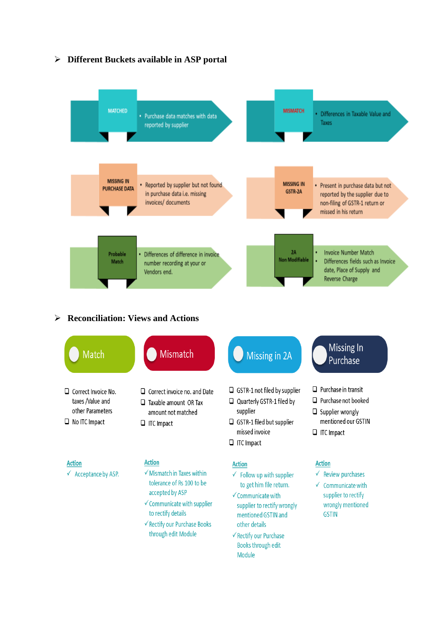

## ➢ **Different Buckets available in ASP portal**

#### ➢ **Reconciliation: Views and Actions**



through edit Module

- └ Rectify our Purchase Books through edit Module
- $\checkmark$  Communicate with supplier to rectify wrongly mentioned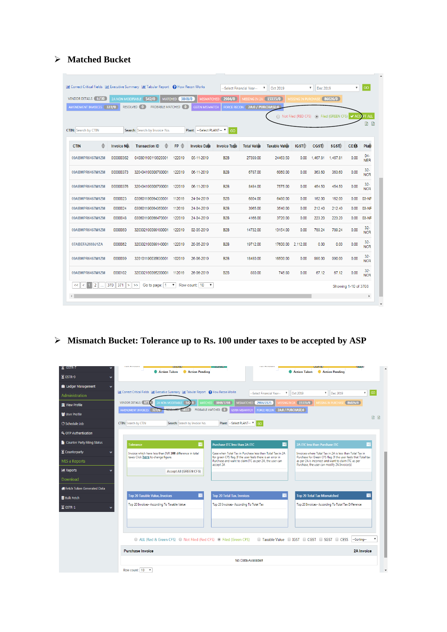## ➢ **Matched Bucket**

| <b>VENDOR DETAILS 6730</b>  |                    | 2A NON MODIFIABLE [ 542/0     |   | <b>MATCHED</b> 3848/0     | <b>MISMATCHED</b>          | 2904/0              | MISSING IN 2A (15335/0)       |                      | <b>MISSING IN PURCHASE</b> |          | 86026/0                                         |             |                      |
|-----------------------------|--------------------|-------------------------------|---|---------------------------|----------------------------|---------------------|-------------------------------|----------------------|----------------------------|----------|-------------------------------------------------|-------------|----------------------|
| AMENDMENT INVOICES 327/0    |                    | RESOLVED 0                    |   | <b>PROBABLE MATCHED 0</b> | <b>GSTIN MISMATCH</b>      |                     | FORCE RECON 2A:0 / PURCHASE:0 |                      |                            |          |                                                 |             |                      |
|                             |                    |                               |   |                           |                            |                     |                               |                      |                            |          | ◯ Not Filed (RED CFS) ⓒ Filed (GREEN CFS) V ACC |             | <b>T ALL</b>         |
|                             |                    |                               |   |                           |                            |                     |                               |                      |                            |          |                                                 |             | 团<br>団               |
| <b>CTIN:</b> Search by CTIN |                    | Search: Search by Invoice No. |   |                           | --Select PLANT--<br>Plant: | GO                  |                               |                      |                            |          |                                                 |             |                      |
| ≜<br><b>CTIN</b>            | <b>Invoice No.</b> | <b>Transaction ID</b>         | ♦ | $FP \triangle$            | <b>Invoice Date</b>        | <b>Invoice Type</b> | <b>Total Value</b>            | <b>Taxable Value</b> | IGST <sup>-</sup>          | CGSE     | SGST <sup>2</sup>                               | <b>CESS</b> | Plan                 |
| 09ABMPR6467M1ZM             | 000000362          | 040301190119320001            |   | 122019                    | 05-11-2019                 | B <sub>2</sub> B    | 27399.00                      | 24463.50             | 0.00                       | 1,467.81 | 1,467.81                                        | 0.00        | $04 -$<br><b>NER</b> |
| 09ABMPR6467M1ZM             | 000000373          | 320404190008780001            |   | 122019                    | 06-11-2019                 | B <sub>2</sub> B    | 6787.00                       | 6060.00              | 0.00                       | 363.60   | 363.60                                          | 0.00        | $32 -$<br><b>NCR</b> |
| 09ABMPR6467M1ZM             | 000000376          | 320404190008790001            |   | 122019                    | 06-11-2019                 | B <sub>2</sub> B    | 8484.00                       | 7575.00              | 0.00                       | 454.50   | 454.50                                          | 0.00        | $32 -$<br><b>NCR</b> |
| 09ABMPR6467M1ZM             | 0000023            | 030601190064330001            |   | 112019                    | 24-04-2019                 | B <sub>2</sub> B    | 6804.00                       | 6480.00              | 0.00                       | 162.00   | 162.00                                          | 0.00        | 03-NF                |
| 09ABMPR6467M1ZM             | 0000024            | 030601190064350001            |   | 112019                    | 24-04-2019                 | B <sub>2</sub> B    | 3965.00                       | 3540.00              | 0.00                       | 212.40   | 212.40                                          | 0.00        | 03-NF                |
| 09ABMPR6467M1ZM             | 0000048            | 030601190066470001            |   | 122019                    | 24-04-2019                 | B <sub>2</sub> B    | 4166.00                       | 3720.00              | 0.00                       | 223.20   | 223.20                                          | 0.00        | 03-NF                |
| 09ABMPR6467M1ZM             | 0000060            | 320302190099180001            |   | 122019                    | 02-05-2019                 | B <sub>2</sub> B    | 14732.00                      | 13154.00             | 0.00                       | 789.24   | 789.24                                          | 0.00        | $32 -$<br><b>NCR</b> |
| 07ABEFA2669J1ZA             | 0000062            | 320302190099140001            |   | 122019                    | 20-05-2019                 | B <sub>2</sub> B    | 19712.00                      | 17600.00             | 2,112.00                   | 0.00     | 0.00                                            | 0.00        | $32 -$<br><b>NCR</b> |
| 09ABMPR6467M1ZM             | 0000099            | 320101190035630001            |   | 102019                    | 26-06-2019                 | <b>B2B</b>          | 18480.00                      | 16500.00             | 0.00                       | 990.00   | 990.00                                          | 0.00        | $32 -$<br><b>NCR</b> |
| 09ABMPR6467M1ZM             | 0000102            | 320302190095200001            |   | 112019                    | 26-06-2019                 | B <sub>2</sub> B    | 880.00                        | 745.80               | 0.00                       | 67.12    | 67.12                                           | 0.00        | $32 -$<br><b>NCR</b> |

# ➢ **Mismatch Bucket: Tolerance up to Rs. 100 under taxes to be accepted by ASP**

| $\ge$ GSTR-7                        | <b>ISLA CULTURIST</b><br><b>ISLA CHINAIN</b><br>Action Taken<br><b>Action Pending</b><br>Action Taken<br>Action Pendina                                                                                                                                                                                  |
|-------------------------------------|----------------------------------------------------------------------------------------------------------------------------------------------------------------------------------------------------------------------------------------------------------------------------------------------------------|
| <b>X</b> GSTR-9                     |                                                                                                                                                                                                                                                                                                          |
| <b>ID</b> Ledger Management         |                                                                                                                                                                                                                                                                                                          |
| Administration                      | Ltd Correct Critical Fields Ltd Executive Summary Ltd Tabular Report @ How Recon Works<br>GO<br>--Select Financial Year--<br>$\boldsymbol{\mathrm{v}}$<br>Oct 2019<br>$\boldsymbol{\mathrm{v}}$<br>Dec 2019<br>$\overline{\mathbf{v}}$                                                                   |
| <b>TE</b> View Profile              | <b>VENDOR DETAILS 6731</b><br><b>MATCHED</b> 3848/3708<br><b>MISMATCHED</b> 2904/2125<br>MISSING IN 2A 15335/0<br>MISSING IN PURCHASE 86026/0<br>2A NON MODIFIABLE 542 10<br><b>PROBABLE MATCHED 0</b><br>FORCE RECON 2A:0 / PURCHASE:0<br><b>GSTIN MISMATCH</b>                                         |
| <b>替 User Profile</b>               | AMENDMENT INVOICES 327/0<br>図图                                                                                                                                                                                                                                                                           |
| <b>C</b> Schedule Job               | Plant: --Select PLANT-- V GO<br><b>CTIN:</b> Search by CTIN<br>Search: Search by Invoice No.                                                                                                                                                                                                             |
| <b>4.</b> OTP Authentication        |                                                                                                                                                                                                                                                                                                          |
| Counter Party Filing Status         | 巪<br>Purchase ITC less than 2A ITC<br>2A ITC less than Purchase ITC<br>≡<br><b>Tolerance</b>                                                                                                                                                                                                             |
| $\Sigma$ Counterparty               | Invoice which have less than INR 100 difference in total<br>Case when Total Tax in Purchase less than Total Tax in 2A<br>Invoices where Total Tax in 2A is less than Total Tax in<br>taxes Click here to change figure.                                                                                  |
| MIS a Reports                       | for green CFS flag. If the user feels there is an error in<br>Purchase for Green CFS flag. If the user feels that Total tax<br>Purchase and want to claim ITC as per 2A, the user can<br>as per 2A is incorrect and want to claim ITC as per<br>Purchase, the user can modify 2A Invoice(s)<br>accept 2A |
| <b>III</b> Reports                  | <b>Accept All (GREEN CFS)</b>                                                                                                                                                                                                                                                                            |
| Download                            |                                                                                                                                                                                                                                                                                                          |
| <b>B</b> Fetch Token Generated Data |                                                                                                                                                                                                                                                                                                          |
| <b>Bulk Fetch</b>                   | 〓<br>≣<br>≣<br><b>Top 20 Total Tax Mismatched</b><br><b>Top 20 Taxable Value, Invoices</b><br><b>Top 20 Total Tax, Invoices</b>                                                                                                                                                                          |
| $\Xi$ GSTR-1                        | Top 20 Invoices- According To Taxable Value<br>Top 20 Invoices- According To Total Tax<br>Top 20 Invoices- According To Total Tax Difference                                                                                                                                                             |
|                                     |                                                                                                                                                                                                                                                                                                          |
|                                     |                                                                                                                                                                                                                                                                                                          |
|                                     | □ Taxable Value □ IGST □ CGST □ SGST □ CESS<br>--Sorting--<br>ALL (Red & Green CFS) O Not Filed (Red CFS) O Filed (Green CFS)                                                                                                                                                                            |
|                                     | <b>Purchase Invoice</b><br>2A Invoice                                                                                                                                                                                                                                                                    |
|                                     | No Data Available!                                                                                                                                                                                                                                                                                       |
|                                     | Row count: 10 v                                                                                                                                                                                                                                                                                          |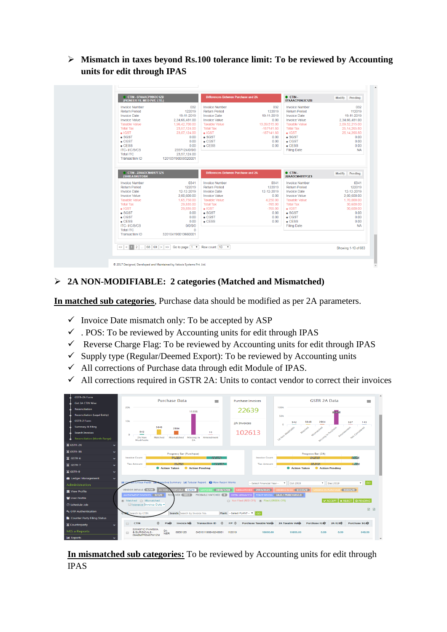➢ **Mismatch in taxes beyond Rs.100 tolerance limit: To be reviewed by Accounting units for edit through IPAS** 

| CTIN-07AAACP9963C1ZB<br>(PIONEER FIL-MED PVT, LTD.) | <b>Differences Between Purchase and 2A</b> |              | $\bullet$ CTIN.<br>07AAACP9963C1ZB  | Modify<br>Pendina                                                                                    |
|-----------------------------------------------------|--------------------------------------------|--------------|-------------------------------------|------------------------------------------------------------------------------------------------------|
| 032                                                 | <b>Invoice Number</b>                      | 032          | <b>Invoice Number</b>               | 032                                                                                                  |
| 122019                                              | <b>Return Period</b>                       | 122019       | <b>Return Period</b>                | 112019                                                                                               |
| 19-11-2019                                          | <b>Invoice Date</b>                        | 19-11-2019   | <b>Invoice Date</b>                 | 19-11-2019                                                                                           |
| 2.34.66.481.00                                      | <b>Invoice Value</b>                       | 0.00         | <b>Invoice Value</b>                | 2,34,66,481.00                                                                                       |
| 1,96,42,700.00                                      | <b>Taxable Value</b>                       | 13,09,515.00 | <b>Taxable Value</b>                | 2,09,52,215.00                                                                                       |
| 23.57.124.00                                        | <b>Total Tax</b>                           | $-157141.80$ | <b>Total Tax</b>                    | 25.14.265.80                                                                                         |
| 23.57.124.00                                        | $\bullet$ IGST                             | $-157141.80$ | $\bullet$ IGST                      | 25.14.265.80                                                                                         |
| 0.00                                                | $\bullet$ SGST                             | 0.00         | $\bullet$ SGST                      | 0.00                                                                                                 |
| 0.00                                                | $-CGST$                                    | 0.00         | $\bullet$ CGST                      | 0.00                                                                                                 |
| 0.00                                                | $\bullet$ CESS                             | 0.00         | $\bullet$ CESS                      | 0.00                                                                                                 |
| 2357124/0/0/0                                       |                                            |              | <b>Filing Date</b>                  | <b>NA</b>                                                                                            |
| 23.57.124.00                                        |                                            |              |                                     |                                                                                                      |
| 120103190059320001                                  |                                            |              |                                     |                                                                                                      |
|                                                     |                                            |              | 22AADCM4817F37S                     |                                                                                                      |
|                                                     |                                            |              |                                     | Pending<br><b>Modify</b>                                                                             |
|                                                     |                                            |              |                                     |                                                                                                      |
| 0341                                                | <b>Invoice Number</b>                      | 0341         | <b>Invoice Number</b>               |                                                                                                      |
| 122019                                              | <b>Return Period</b>                       | 122019       | <b>Return Period</b>                |                                                                                                      |
| 12-12-2019                                          | <b>Invoice Date</b>                        | 12-12-2019   | <b>Invoice Date</b>                 |                                                                                                      |
| 2.00.600.00                                         | Invoice Value                              | 0.00         | <b>Invoice Value</b>                |                                                                                                      |
| 1.65.750.00                                         | <b>Taxable Value</b>                       | 4.250.00     | <b>Taxable Value</b>                |                                                                                                      |
| 29.835.00                                           | <b>Total Tax</b>                           | $-765.00$    | <b>Total Tax</b>                    |                                                                                                      |
| 29,835.00                                           | $\bullet$ IGST                             | $-765.00$    | $\bullet$ IGST                      |                                                                                                      |
| 0.00                                                | $\bullet$ SGST                             | 0.00         | $\bullet$ SGST                      |                                                                                                      |
| 0.00                                                | $\bullet$ CGST                             | 0.00         | $\bullet$ CGST                      | 0341<br>122019<br>12-12-2019<br>2.00.600.00<br>1.70.000.00<br>30,600.00<br>30,600.00<br>0.00<br>0.00 |
| 0.00                                                | $\bullet$ CESS                             | 0.00         | $\bullet$ CESS                      | 0.00                                                                                                 |
| 0/0/0/0                                             |                                            |              | <b>Filing Date</b>                  | <b>NA</b>                                                                                            |
| $\mathbf{0}$<br>320104190013660001                  |                                            |              |                                     |                                                                                                      |
|                                                     | CTIN-22AADCM4817F3ZS                       |              | Differences Between Purchase and 2A | $\bullet$ CTIN -                                                                                     |

## ➢ **2A NON-MODIFIABLE: 2 categories (Matched and Mismatched)**

**In matched sub categories**, Purchase data should be modified as per 2A parameters.

- $\checkmark$  Invoice Date mismatch only: To be accepted by ASP
- $\checkmark$ . POS: To be reviewed by Accounting units for edit through IPAS
- $\checkmark$  Reverse Charge Flag: To be reviewed by Accounting units for edit through IPAS
- $\checkmark$  Supply type (Regular/Deemed Export): To be reviewed by Accounting units
- ✓ All corrections of Purchase data through edit Module of IPAS.
- $\checkmark$  All corrections required in GSTR 2A: Units to contact vendor to correct their invoices

| <b>GSTR-2A Form</b>                  |                       |                                                                                                                                                                                                                                |
|--------------------------------------|-----------------------|--------------------------------------------------------------------------------------------------------------------------------------------------------------------------------------------------------------------------------|
| <b>Get 2A CTIN Wise</b>              |                       | <b>Purchase Data</b><br><b>GSTR 2A Data</b><br><b>Purchase Invoices</b><br>$\equiv$<br>$\equiv$                                                                                                                                |
| <b>Reconciliation</b>                |                       | 100 <sub>k</sub><br>20k<br>22639<br>15335                                                                                                                                                                                      |
| <b>Reconciliation (Legal Entity)</b> |                       | 30020<br><b>SOk</b>                                                                                                                                                                                                            |
| <b>GSTR-2 Form</b>                   |                       | 10k<br>3848<br>2904<br>327<br>542<br>143<br><b>2A Invoices</b><br>$\circ$                                                                                                                                                      |
| <b>Summary &amp; Filing</b>          |                       | 3848<br>2904                                                                                                                                                                                                                   |
| <b>Search Invoices</b>               |                       | - Richardsons in Parchises<br>Hat Compidered<br>102613<br>542<br>10                                                                                                                                                            |
| <b>Reconciliation (Month Range)</b>  |                       | Missing in Amendment<br>Matched<br>Mismatched<br>2A Non<br>Modifiable<br>2A                                                                                                                                                    |
| $\Xi$ GSTR-2X                        |                       |                                                                                                                                                                                                                                |
| $\Xi$ GSTR-3B                        |                       | Progress Bar (2A)<br>Progress Bar (Purchase)                                                                                                                                                                                   |
| $\Sigma$ GSTR-6                      |                       | 5.69%<br><b>Invoice Count</b><br>74,2565<br>25.77%<br><b>Invoice Count</b><br>909-3095                                                                                                                                         |
| $\mathbf{Z}$ GSTR-7                  |                       | 95.5495<br>4,469<br><b>Tax Amount</b><br>80.7595<br>19.27%<br><b>Tax Amount</b><br>Action Taken<br><b>Action Pending</b><br><b>C</b> Action Taken<br>Action Pending                                                            |
| $\Sigma$ GSTR-9                      |                       |                                                                                                                                                                                                                                |
| <b>ID</b> Ledger Management          |                       |                                                                                                                                                                                                                                |
| Administration                       |                       | vecutive Summary [Jill Tabular Report @ How Recon Works<br>$\mathbf{v}$ GO<br>--Select Financial Year--<br><b>v</b> Dec 2019<br>$\triangledown$ Oct 2019                                                                       |
| <b>TIT</b> View Profile              |                       | <b>VENDOR DETAILS ( G/ 20)</b><br><b>MATCHED</b> 3848/3708<br><b>MISMATCHED 2904/2125</b><br>MISSING IN 2A 15335/0<br>ODIFIABLE 542/0<br>MISSING IN PURCHASE   86026/0<br>2A NON                                               |
| User Profile                         |                       | RESOLVED (5833)<br>PROBABLE MATCHED (0)<br><b>GSTIN MISMATCH FORCE RECON 2A:0 / PURCHASE:0</b><br>AMENDMENT INVOICES 327/0<br><b>* REJECT O PENDING</b><br>a Matched a Mismatched<br>Not Filed (RED CFS) (6) Filed (GREEN CFS) |
| €3 Schedule Job                      |                       | $\triangleright$ ACCEPT<br>Tolerance Invoice Date -                                                                                                                                                                            |
| <b>4. OTP Authentication</b>         |                       | 团团<br>Plant: -- Select PLANT-- V GO<br>Search: Search by Invoice No.<br>Search by CTIN                                                                                                                                         |
| Counter Party Filing Status          |                       |                                                                                                                                                                                                                                |
| Counterparty                         | $\tilde{\phantom{a}}$ | <b>Purchase Taxable Value</b><br><b>2A Taxable Value</b><br><b>Purchase IGST</b><br>2A IGST<br><b>Purchase SGST</b><br><b>Invoice No.</b><br><b>Transaction ID</b><br><b>CTIN</b><br>Plant<br>$FP =$<br>$\Box$                 |
| MIS a Reports                        |                       | <b>SWASTIC PHARMA</b><br>$04 -$<br>0000120<br>040101190048240001<br>112019<br>10800.00<br>10800.00<br>0.00<br>0.00<br>648.00<br>& SURGICALS<br><b>NER</b>                                                                      |
| <b>III</b> Reports                   |                       | 09ABMPR6467M1ZM                                                                                                                                                                                                                |

**In mismatched sub categories:** To be reviewed by Accounting units for edit through IPAS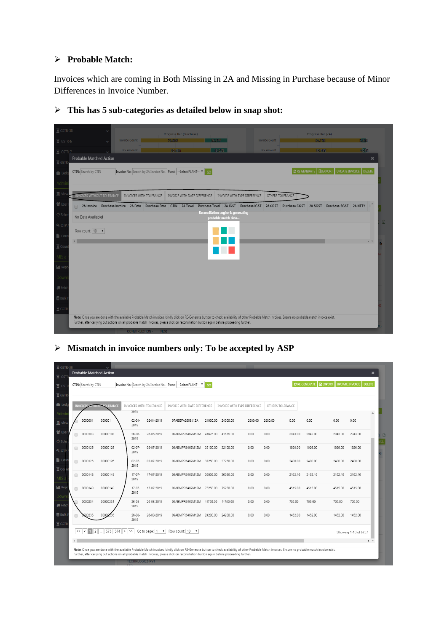### ➢ **Probable Match:**

Invoices which are coming in Both Missing in 2A and Missing in Purchase because of Minor Differences in Invoice Number.

| $\Xi$ GSTR-3B          | Progress Bar (Purchase)<br>Progress Bar (2A)                                                                                                                                                                                                                                                                                                         |   |
|------------------------|------------------------------------------------------------------------------------------------------------------------------------------------------------------------------------------------------------------------------------------------------------------------------------------------------------------------------------------------------|---|
| $\Sigma$ GSTR-6        | <b>E.83%</b><br><b>Invoice Count</b><br><b>Invoice Count</b><br>94.17%<br>73,53%<br>26.37%                                                                                                                                                                                                                                                           |   |
| $\Xi$ GSTR-7           | 4503<br><b>Tax Amount</b><br><b>Tax Amount</b><br>95,49%<br>80,48%<br>19.52%                                                                                                                                                                                                                                                                         |   |
| $\overline{X}$ GSTF    | <b>Probable Matched Action</b><br>×                                                                                                                                                                                                                                                                                                                  |   |
| <b>I</b> III Lec       | UPDATE INVOICE   DELETE<br><b>C</b> RE GENERATE   <b>R</b> EXPORT<br>Invoice No: Search by 2A Invoice No. Plant: -- Select PLANT-- v<br>CTIN: Search by CTIN<br><b>GO</b>                                                                                                                                                                            |   |
| Adm                    |                                                                                                                                                                                                                                                                                                                                                      |   |
| <b>JUIT</b> V          | <b>INVOICES WITHOUT TOLERANCE</b><br>OTHERS TOLERANCE<br>INVOICES WITH TOLERANCE<br>INVOICE WITH DATE DIFFERENCE<br>INVOICE WITH TYPE DIFFERENCE                                                                                                                                                                                                     |   |
| 营 Use                  | CTIN 2A Txval<br>2A Invoice Purchase Invoice 2A Date Purchase Date<br>Purchase Txval 2A IGST Purchase IGST 2A CGST Purchase CGST 2A SGST<br>Purchase SGST 2A NTTY                                                                                                                                                                                    |   |
| √.° Sch                | Reconciliation engine is generating<br>No Data Available!<br>probable match data                                                                                                                                                                                                                                                                     |   |
| $Q$ <sub>c</sub> $OTP$ | Row count: 10 v                                                                                                                                                                                                                                                                                                                                      | 聞 |
| $\blacksquare$ Cou     |                                                                                                                                                                                                                                                                                                                                                      |   |
| $\Xi$ Cou              |                                                                                                                                                                                                                                                                                                                                                      |   |
| MIS                    |                                                                                                                                                                                                                                                                                                                                                      |   |
| <b>III</b> Rep         |                                                                                                                                                                                                                                                                                                                                                      |   |
| Down                   |                                                                                                                                                                                                                                                                                                                                                      |   |
| <b>I</b> Feto          |                                                                                                                                                                                                                                                                                                                                                      |   |
| <b>言 Bulk</b>          |                                                                                                                                                                                                                                                                                                                                                      |   |
| $\Xi$ GSTF             |                                                                                                                                                                                                                                                                                                                                                      |   |
|                        | Note: Once you are done with the available Probable Match invoices, kindly click on RE-Generate button to check availability of other Probable Match invoices. Ensure no probable match invoice exist.<br>Further, after carrying out actions on all probable match invoices, please click on reconciliation button again before proceeding further. |   |

➢ **This has 5 sub-categories as detailed below in snap shot:**

## ➢ **Mismatch in invoice numbers only: To be accepted by ASP**

| $\Sigma$ GSTR-3B          |        |                                |                        |     |                        |                                     |                                                                                                                                                                                                                                                                                                                                                      |          |          |                              |                  |         |                                      |         |                                        |
|---------------------------|--------|--------------------------------|------------------------|-----|------------------------|-------------------------------------|------------------------------------------------------------------------------------------------------------------------------------------------------------------------------------------------------------------------------------------------------------------------------------------------------------------------------------------------------|----------|----------|------------------------------|------------------|---------|--------------------------------------|---------|----------------------------------------|
| $Z$ GSTI                  |        | <b>Probable Matched Action</b> |                        |     |                        |                                     |                                                                                                                                                                                                                                                                                                                                                      |          |          |                              |                  |         |                                      |         | ×                                      |
| $Z$ GST                   |        | CTIN: Search by CTIN           |                        |     |                        |                                     | Invoice No: Search by 2A Invoice No.   Plant: -- Select PLANT-- V                                                                                                                                                                                                                                                                                    | GO       |          |                              |                  |         | <b>C</b> RE GENERATE <b>R</b> EXPORT |         | <b>UPDATE INVOICE</b><br><b>DELETE</b> |
| $\Sigma$ GSTF             |        |                                |                        |     |                        |                                     |                                                                                                                                                                                                                                                                                                                                                      |          |          |                              |                  |         |                                      |         |                                        |
| <b>n</b> Led              |        | <b>INVOICES</b><br>итног       | <b><i>OLERANCE</i></b> |     |                        | INVOICES WITH TOLERANCE             | INVOICE WITH DATE DIFFERENCE                                                                                                                                                                                                                                                                                                                         |          |          | INVOICE WITH TYPE DIFFERENCE | OTHERS TOLERANCE |         |                                      |         |                                        |
| Admi                      |        |                                |                        |     | 2019                   |                                     |                                                                                                                                                                                                                                                                                                                                                      |          |          |                              |                  |         |                                      |         | $\Delta$                               |
| <b>直</b> Viev             |        | 0000001                        | 000001                 |     | $02 - 04 -$<br>2019    | 02-04-2019                          | 07ABEFA2669J1ZA                                                                                                                                                                                                                                                                                                                                      | 24000.00 | 24000.00 | 2880.00                      | 2880.00          | 0.00    | 0.00                                 | 0.00    | 0.00                                   |
| 营Use<br><b>€</b> Sch      | $\Box$ | 0000103                        | 00000103               |     | $26 - 06 -$<br>2019    | 26-06-2019                          | 09ABMPR6467M1ZM                                                                                                                                                                                                                                                                                                                                      | 41675.00 | 41675.00 | 0.00                         | 0.00             | 2943.00 | 2943.00                              | 2943.00 | 2943.00                                |
| <b>Q</b> <sub>t</sub> OTI | $\Box$ | 0000125                        | 00000125               |     | $02 - 07 -$<br>2019    | 02-07-2019                          | 09ABMPR6467M1ZM                                                                                                                                                                                                                                                                                                                                      | 32100.00 | 32100.00 | 0.00                         | 0.00             | 1926.00 | 1926.00                              | 1926.00 | 1926.00                                |
| $\Gamma$ Co<br>$Z$ Cou    | $\Box$ | 0000126                        | 00000126               |     | $02 - 07 -$<br>2019    | 02-07-2019                          | 09ABMPR6467M1ZM                                                                                                                                                                                                                                                                                                                                      | 37250.00 | 37250.00 | 0.00                         | 0.00             | 2400.00 | 2400.00                              | 2400.00 | 2400.00                                |
| $MIS$ a                   | n      | 0000148                        | 00000148               |     | $17 - 07 -$<br>2019    | 17-07-2019                          | 09ABMPR6467M1ZM                                                                                                                                                                                                                                                                                                                                      | 36036.00 | 36036.00 | 0.00                         | 0.00             | 2162.16 | 2162.16                              | 2162.16 | 2162.16                                |
| <b>III</b> Rep<br>Dowr    | ∩      | 0000149                        | 00000149               |     | $17 - 07 -$<br>2019    | 17-07-2019                          | 09ABMPR6467M1ZM                                                                                                                                                                                                                                                                                                                                      | 75250.00 | 75250.00 | 0.00                         | 0.00             | 4515.00 | 4515.00                              | 4515.00 | 4515.00                                |
| <b>R</b> Fetc             |        | 0000234                        | 00000234               |     | 26-08-<br>2019         | 26-08-2019                          | 09ABMPR6467M1ZM                                                                                                                                                                                                                                                                                                                                      | 11750.00 | 11750.00 | 0.00                         | 0.00             | 705.00  | 705.00                               | 705.00  | 705.00                                 |
| <b>Bulk</b>               |        | 100235                         | 00000                  |     | 26-08-<br>2019         | 26-08-2019                          | 09ABMPR6467M1ZM                                                                                                                                                                                                                                                                                                                                      | 24200.00 | 24200.00 | 0.00                         | 0.00             | 1452.00 | 1452.00                              | 1452.00 | 1452.00                                |
| $Z$ GSTF                  |        | 2<br><<                        | 573                    | 574 | $> >$                  | Go to page: 1<br>$\pmb{\mathrm{v}}$ | Row count: 10 \v                                                                                                                                                                                                                                                                                                                                     |          |          |                              |                  |         |                                      |         | Showing 1-10 of 5737                   |
|                           |        |                                |                        |     |                        |                                     |                                                                                                                                                                                                                                                                                                                                                      |          |          |                              |                  |         |                                      |         | $\blacktriangleright$ $\forall$        |
|                           |        |                                |                        |     | <b>TECHNLOGIES PVT</b> |                                     | Note: Once you are done with the available Probable Match invoices, kindly click on RE-Generate button to check availability of other Probable Match invoices. Ensure no probable match invoice exist.<br>Further, after carrying out actions on all probable match invoices, please click on reconciliation button again before proceeding further. |          |          |                              |                  |         |                                      |         |                                        |
|                           |        |                                |                        |     | <b>LITE</b>            |                                     |                                                                                                                                                                                                                                                                                                                                                      |          |          |                              |                  |         |                                      |         |                                        |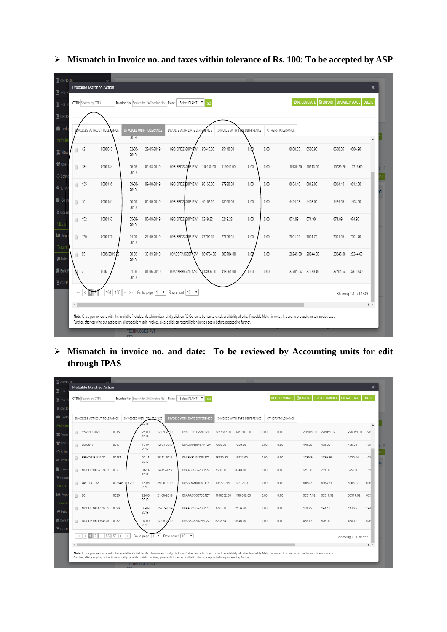| $\Sigma$ GSTR-3B                         |        |                                 |             |                        |                                |                                                                                                                                                                                                                                                                                                                                                      |           |           |                              |      |                  |                      |                   |                                 |
|------------------------------------------|--------|---------------------------------|-------------|------------------------|--------------------------------|------------------------------------------------------------------------------------------------------------------------------------------------------------------------------------------------------------------------------------------------------------------------------------------------------------------------------------------------------|-----------|-----------|------------------------------|------|------------------|----------------------|-------------------|---------------------------------|
| $\overline{X}$ GSTF                      |        | <b>Probable Matched Action</b>  |             |                        |                                |                                                                                                                                                                                                                                                                                                                                                      |           |           |                              |      |                  |                      |                   | ×                               |
| $\Xi$ GST                                |        | CTIN: Search by CTIN            |             |                        |                                | Invoice No: Search by 2A Invoice No. Plant: --Select PLANT--                                                                                                                                                                                                                                                                                         |           |           |                              |      |                  | <b>C</b> RE GENERATE | <b>REXPORT</b>    | UPDATE INVOICE<br><b>DELETE</b> |
| $\Xi$ GSTF                               |        |                                 |             |                        |                                |                                                                                                                                                                                                                                                                                                                                                      |           |           |                              |      |                  |                      |                   |                                 |
| <b>n</b> Led                             |        | <b>/OICES WITHOUT TOLENANCE</b> |             |                        | <b>INVOICES WITH TOLERANCE</b> | INVOICE WITH DATE DIFFERENCE                                                                                                                                                                                                                                                                                                                         |           |           | INVOICE WITH TYPE DIFFERENCE |      | OTHERS TOLERANCE |                      |                   |                                 |
| Admi                                     |        |                                 |             | 2019                   |                                |                                                                                                                                                                                                                                                                                                                                                      |           |           |                              |      |                  |                      |                   | $\blacktriangle$                |
| <b>直</b> Vier                            | ┐      | 42                              | 0000042     | $22 - 05 -$<br>2019    | 22-05-2019                     | 09BISPD2320P1Z                                                                                                                                                                                                                                                                                                                                       | 95645.00  | 95410.00  | 0 <sup>o</sup>               | 0.00 | 8608.05          | 8586.90              | 8608.05           | 8586.90                         |
| <b>Use</b><br><b>₿</b> Sche              | ∩      | 134                             | 0000134     | $09 - 08 -$<br>2019    | 09-08-2019                     | 09BISPD2320P1ZW                                                                                                                                                                                                                                                                                                                                      | 119280.00 | 119040.00 | 0.00                         | 0.00 | 10735.20         | 10713.60             | 10735.20          | 10713.60                        |
| $Q_{\text{t}}$ OTI                       | ∩      | 135                             | 0000135     | 09-08-<br>2019         | 09-08-2019                     | 09BISPD2320P1ZW                                                                                                                                                                                                                                                                                                                                      | 98160.00  | 97920.00  | 0.00                         | 0.00 | 8834.40          | 8812.80              | 8834.40           | 8812.80                         |
| $\blacksquare$ Co<br>$\overline{Z}$ Cour | $\Box$ | 151                             | 0000151     | 05-09-<br>2019         | 05-09-2019                     | 09BISPD2820P1ZW                                                                                                                                                                                                                                                                                                                                      | 49162.50  | 48925.00  | 0.00                         | 0.00 | 4424.63          | 4403.00              | 4424.63           | 4403.00                         |
| MIS a                                    | n      | 152                             | 0000152     | 05-09-<br>2019         | 05-09-2019                     | 09BISPD2320P1ZW                                                                                                                                                                                                                                                                                                                                      | 6249.22   | 6249.22   | 0.00                         | 0.00 | 874.89           | 874.90               | 874.89            | 874.90                          |
| <b>ILL</b> Rep<br>Down                   | n      | 170                             | 0000170     | 24-09-<br>2019         | 24-09-2019                     | 09BISPD2320P1ZW                                                                                                                                                                                                                                                                                                                                      | 77796.61  | 77796.61  | 0.00                         | 0.00 | 7001.69          | 7001.70              | 7001.69           | 7001.70                         |
| <b>侧 Fetc</b>                            | Π      | 05                              | 0005/2019-2 | $30 - 09 -$<br>2019    | 30-09-2019                     | 09ABOFA1660PIZV                                                                                                                                                                                                                                                                                                                                      | 809784.00 | 809784.00 | 0.00                         | 0.00 | 20245.00         | 20244.60             | 20245.00 20244.60 |                                 |
| <b>豊 Bulk</b><br>$\overline{X}$ GSTF     |        | $\overline{7}$                  | 0007        | $01 - 06 -$<br>2019    | 01-06-2019                     | 09AAKFB9601L1Z3                                                                                                                                                                                                                                                                                                                                      | 418906.00 | 418661.00 | 0.00                         | 0.00 | 37701.54         | 37679.49             | 37701.54 37679.49 |                                 |
|                                          | $\ll$  |                                 | 164<br>165  | ><br>$>\!>$            |                                | Go to page: 1 v Row count: 10 v                                                                                                                                                                                                                                                                                                                      |           |           |                              |      |                  |                      |                   | Showing 1-10 of 1649            |
|                                          |        |                                 |             |                        |                                |                                                                                                                                                                                                                                                                                                                                                      |           |           |                              |      |                  |                      |                   | $\blacktriangleright$ $\forall$ |
|                                          |        |                                 |             |                        |                                | Note: Once you are done with the available Probable Match invoices, kindly click on RE-Generate button to check availability of other Probable Match invoices. Ensure no probable match invoice exist.<br>Further, after carrying out actions on all probable match invoices, please click on reconciliation button again before proceeding further. |           |           |                              |      |                  |                      |                   |                                 |
|                                          |        |                                 |             | <b>TECHNLOGIES PVT</b> |                                |                                                                                                                                                                                                                                                                                                                                                      |           |           |                              |      |                  |                      |                   |                                 |

➢ **Mismatch in Invoice no. and taxes within tolerance of Rs. 100: To be accepted by ASP**

➢ **Mismatch in invoice no. and date: To be reviewed by Accounting units for edit through IPAS** 

| $\Sigma$ GSTR-3B               |                                |                                   |                         |                |                                                                        |            |                              |      |                      |                |                       |                     |                                   |
|--------------------------------|--------------------------------|-----------------------------------|-------------------------|----------------|------------------------------------------------------------------------|------------|------------------------------|------|----------------------|----------------|-----------------------|---------------------|-----------------------------------|
| $Z$ GSTF                       | <b>Probable Matched Action</b> |                                   |                         |                |                                                                        |            |                              |      |                      |                |                       |                     | $\mathbf{x}$                      |
| $Z$ GST                        | CTIN: Search by CTIN           |                                   |                         |                | Invoice No: Search by 2A Invoice No.   Plant: --Select PLANT--<br>- GO |            |                              |      | <b>C RE GENERATE</b> | <b>REXPORT</b> | <b>UPDATE INVOICE</b> | <b>UPDATE DATE</b>  | <b>DELETE</b>                     |
| $\Xi$ GSTF                     |                                |                                   |                         |                |                                                                        |            |                              |      |                      |                |                       |                     |                                   |
| <b>n</b> Led                   | INVOICES WITHOUT TOLERANCE     |                                   | INVOICES WITH TOLERANCE |                | <b>INVOICE WITH DATE DIFFERENCE</b>                                    |            | INVOICE WITH TYPE DIFFERENCE |      | OTHERS TOLERANCE     |                |                       |                     |                                   |
| Admi                           |                                |                                   | 019                     |                |                                                                        |            |                              |      |                      |                |                       |                     | $\blacktriangle$                  |
| <b>III</b> View                | 15/2019-2020<br>∩              | 0015                              | $25 - 09 -$<br>2019     | 17-09-2019     | 09AEEPS1567C3ZF                                                        |            | 3767817.00 3767817.00        | 0.00 | 0.00                 | 226069.00      | 226069.02             | 226069.00           | 226                               |
| <b>替 Use</b><br>€ Sche         | 0000017<br>$\Box$              | 0017                              | $18 - 04 -$<br>2019     | 12-04-2019     | 09ABMPR6467M1ZM                                                        | 7920.00    | 7920.00                      | 0.00 | 0.00                 | 475.20         | 475.00                | 475.20              | 475                               |
| <b>Q</b> <sub>2</sub> OTP      | PRA/00184/19-20<br>□           | 00184                             | $02 - 11 -$<br>2019     | 28-11-2019     | 09ABYPV9371N1Z3                                                        | 18220.32   | 18221.00                     | 0.00 | 0.00                 | 1639.84        | 1639.89               | 1639.84             | 163                               |
| $\blacksquare$ Cou<br>$Z$ Cour | NDCUP1902732462                | 002                               | $04 - 11 -$<br>2019     | 14-11-2019     | 09AABCB5576G1ZJ                                                        | 7500.00    | 8348.00                      | 0.00 | 0.00                 | 675.00         | 751.00                | 675.00              | 751                               |
| MIS a                          | GST/18-19/2<br>$\Box$          | 002/GST/19-20                     | 18-06-<br>2019          | 25-06-2019     | 09AADCH0198L1Z8                                                        | 102729.46  | 102729.00                    | 0.00 | 0.00                 | 6163.77        | 6163.74               | 6163.77             | 616                               |
| <b>III</b> Rep<br>Down         | - 26<br>$\Box$                 | 0026                              | $22 - 08 -$<br>2019     | 21-08-2019     | 09AAACC6073E1ZT                                                        | 1108632.00 | 1108632.00                   | 0.00 | 0.00                 | 66517.92       | 66517.92              | 66517.92            | 665                               |
| <b>e</b> Fetc                  | NDCUP1901262735<br>$\Box$      | 0026                              | $05 - 07 -$<br>2019     | 15-07-2019     | 09AABCB5576G1ZJ                                                        | 1225.00    | 2156.70                      | 0.00 | 0.00                 | 110.25         | 194.10                | 110.25              | 194                               |
| <b>Bulk</b>                    | NDCUP1901964328<br>∩           | 0032                              | $04 - 09 -$<br>2019     | 17-09-20<br>19 | 09AABCB5576G1ZJ                                                        | 5208.54    | 5846.00                      | 0.00 | 0.00                 | 468.77         | 526.00                | 468.77              | 526                               |
| $\overline{X}$ GSTI            | 2<br><<<br>$\lt$               | 55 56<br>$\,>$<br>$\vert > \vert$ | Go to page: 1 v         |                | Row count: 10 v                                                        |            |                              |      |                      |                |                       | Showing 1-10 of 552 |                                   |
|                                |                                |                                   |                         |                |                                                                        |            |                              |      |                      |                |                       |                     | $\blacktriangleright$ . $\forall$ |